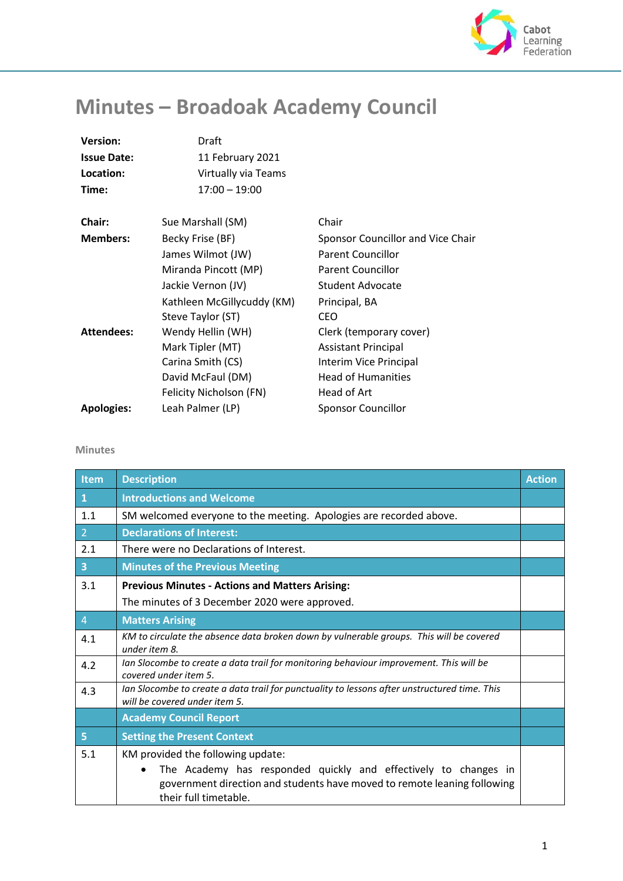

## **Minutes – Broadoak Academy Council**

| <b>Version:</b>    | Draft                      |                                   |
|--------------------|----------------------------|-----------------------------------|
| <b>Issue Date:</b> | 11 February 2021           |                                   |
| Location:          | Virtually via Teams        |                                   |
| Time:              | $17:00 - 19:00$            |                                   |
| Chair:             | Sue Marshall (SM)          | Chair                             |
|                    |                            |                                   |
| <b>Members:</b>    | Becky Frise (BF)           | Sponsor Councillor and Vice Chair |
|                    | James Wilmot (JW)          | <b>Parent Councillor</b>          |
|                    | Miranda Pincott (MP)       | <b>Parent Councillor</b>          |
|                    | Jackie Vernon (JV)         | Student Advocate                  |
|                    | Kathleen McGillycuddy (KM) | Principal, BA                     |
|                    | Steve Taylor (ST)          | <b>CEO</b>                        |
| <b>Attendees:</b>  | Wendy Hellin (WH)          | Clerk (temporary cover)           |
|                    | Mark Tipler (MT)           | <b>Assistant Principal</b>        |
|                    | Carina Smith (CS)          | Interim Vice Principal            |
|                    | David McFaul (DM)          | <b>Head of Humanities</b>         |
|                    | Felicity Nicholson (FN)    | Head of Art                       |
| <b>Apologies:</b>  | Leah Palmer (LP)           | <b>Sponsor Councillor</b>         |
|                    |                            |                                   |

## **Minutes**

| Item                    | <b>Description</b>                                                                                                                                                                                        | <b>Action</b> |
|-------------------------|-----------------------------------------------------------------------------------------------------------------------------------------------------------------------------------------------------------|---------------|
| $\mathbf{1}$            | <b>Introductions and Welcome</b>                                                                                                                                                                          |               |
| 1.1                     | SM welcomed everyone to the meeting. Apologies are recorded above.                                                                                                                                        |               |
| 2 <sup>1</sup>          | <b>Declarations of Interest:</b>                                                                                                                                                                          |               |
| 2.1                     | There were no Declarations of Interest.                                                                                                                                                                   |               |
| $\overline{\mathbf{3}}$ | <b>Minutes of the Previous Meeting</b>                                                                                                                                                                    |               |
| 3.1                     | <b>Previous Minutes - Actions and Matters Arising:</b><br>The minutes of 3 December 2020 were approved.                                                                                                   |               |
| $\overline{4}$          | <b>Matters Arising</b>                                                                                                                                                                                    |               |
| 4.1                     | KM to circulate the absence data broken down by vulnerable groups. This will be covered<br>under item 8.                                                                                                  |               |
| 4.2                     | Ian Slocombe to create a data trail for monitoring behaviour improvement. This will be<br>covered under item 5.                                                                                           |               |
| 4.3                     | Ian Slocombe to create a data trail for punctuality to lessons after unstructured time. This<br>will be covered under item 5.                                                                             |               |
|                         | <b>Academy Council Report</b>                                                                                                                                                                             |               |
| 5 <sup>1</sup>          | <b>Setting the Present Context</b>                                                                                                                                                                        |               |
| 5.1                     | KM provided the following update:<br>The Academy has responded quickly and effectively to changes in<br>government direction and students have moved to remote leaning following<br>their full timetable. |               |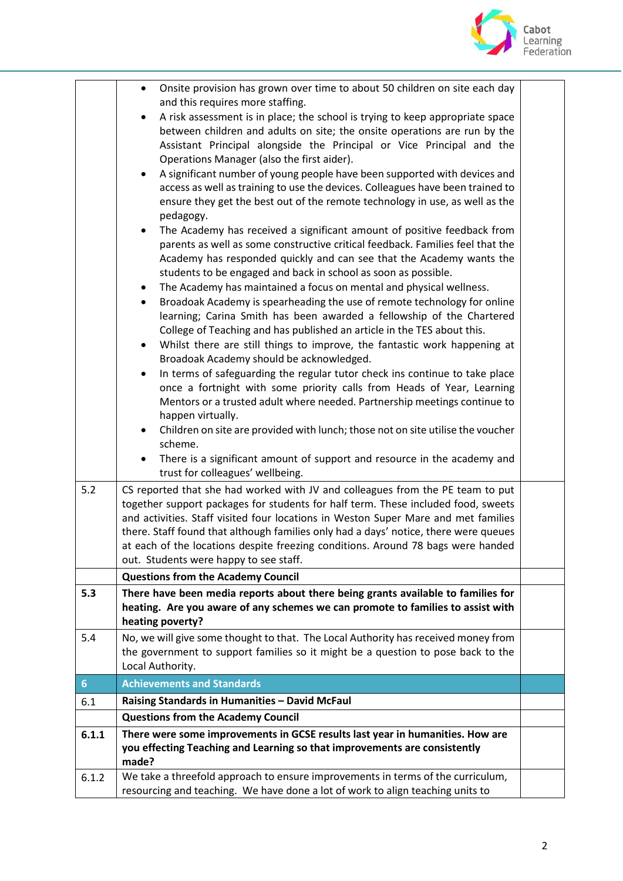

| Onsite provision has grown over time to about 50 children on site each day<br>٠              |                                                                                                                                                                                                                                                                                                                                                                                                                                                                                                                                                                                                                                                                                                                                                                                                                                                                                                                                                                                                                                                                                                                                                                                                                                                                                                                                                                                                                                                                                                                                                                                                                                                                                                                                                                                                                                |
|----------------------------------------------------------------------------------------------|--------------------------------------------------------------------------------------------------------------------------------------------------------------------------------------------------------------------------------------------------------------------------------------------------------------------------------------------------------------------------------------------------------------------------------------------------------------------------------------------------------------------------------------------------------------------------------------------------------------------------------------------------------------------------------------------------------------------------------------------------------------------------------------------------------------------------------------------------------------------------------------------------------------------------------------------------------------------------------------------------------------------------------------------------------------------------------------------------------------------------------------------------------------------------------------------------------------------------------------------------------------------------------------------------------------------------------------------------------------------------------------------------------------------------------------------------------------------------------------------------------------------------------------------------------------------------------------------------------------------------------------------------------------------------------------------------------------------------------------------------------------------------------------------------------------------------------|
|                                                                                              |                                                                                                                                                                                                                                                                                                                                                                                                                                                                                                                                                                                                                                                                                                                                                                                                                                                                                                                                                                                                                                                                                                                                                                                                                                                                                                                                                                                                                                                                                                                                                                                                                                                                                                                                                                                                                                |
|                                                                                              |                                                                                                                                                                                                                                                                                                                                                                                                                                                                                                                                                                                                                                                                                                                                                                                                                                                                                                                                                                                                                                                                                                                                                                                                                                                                                                                                                                                                                                                                                                                                                                                                                                                                                                                                                                                                                                |
|                                                                                              |                                                                                                                                                                                                                                                                                                                                                                                                                                                                                                                                                                                                                                                                                                                                                                                                                                                                                                                                                                                                                                                                                                                                                                                                                                                                                                                                                                                                                                                                                                                                                                                                                                                                                                                                                                                                                                |
| Operations Manager (also the first aider).                                                   |                                                                                                                                                                                                                                                                                                                                                                                                                                                                                                                                                                                                                                                                                                                                                                                                                                                                                                                                                                                                                                                                                                                                                                                                                                                                                                                                                                                                                                                                                                                                                                                                                                                                                                                                                                                                                                |
| A significant number of young people have been supported with devices and<br>$\bullet$       |                                                                                                                                                                                                                                                                                                                                                                                                                                                                                                                                                                                                                                                                                                                                                                                                                                                                                                                                                                                                                                                                                                                                                                                                                                                                                                                                                                                                                                                                                                                                                                                                                                                                                                                                                                                                                                |
| access as well as training to use the devices. Colleagues have been trained to               |                                                                                                                                                                                                                                                                                                                                                                                                                                                                                                                                                                                                                                                                                                                                                                                                                                                                                                                                                                                                                                                                                                                                                                                                                                                                                                                                                                                                                                                                                                                                                                                                                                                                                                                                                                                                                                |
| ensure they get the best out of the remote technology in use, as well as the<br>pedagogy.    |                                                                                                                                                                                                                                                                                                                                                                                                                                                                                                                                                                                                                                                                                                                                                                                                                                                                                                                                                                                                                                                                                                                                                                                                                                                                                                                                                                                                                                                                                                                                                                                                                                                                                                                                                                                                                                |
| The Academy has received a significant amount of positive feedback from<br>$\bullet$         |                                                                                                                                                                                                                                                                                                                                                                                                                                                                                                                                                                                                                                                                                                                                                                                                                                                                                                                                                                                                                                                                                                                                                                                                                                                                                                                                                                                                                                                                                                                                                                                                                                                                                                                                                                                                                                |
| parents as well as some constructive critical feedback. Families feel that the               |                                                                                                                                                                                                                                                                                                                                                                                                                                                                                                                                                                                                                                                                                                                                                                                                                                                                                                                                                                                                                                                                                                                                                                                                                                                                                                                                                                                                                                                                                                                                                                                                                                                                                                                                                                                                                                |
|                                                                                              |                                                                                                                                                                                                                                                                                                                                                                                                                                                                                                                                                                                                                                                                                                                                                                                                                                                                                                                                                                                                                                                                                                                                                                                                                                                                                                                                                                                                                                                                                                                                                                                                                                                                                                                                                                                                                                |
|                                                                                              |                                                                                                                                                                                                                                                                                                                                                                                                                                                                                                                                                                                                                                                                                                                                                                                                                                                                                                                                                                                                                                                                                                                                                                                                                                                                                                                                                                                                                                                                                                                                                                                                                                                                                                                                                                                                                                |
| $\bullet$                                                                                    |                                                                                                                                                                                                                                                                                                                                                                                                                                                                                                                                                                                                                                                                                                                                                                                                                                                                                                                                                                                                                                                                                                                                                                                                                                                                                                                                                                                                                                                                                                                                                                                                                                                                                                                                                                                                                                |
|                                                                                              |                                                                                                                                                                                                                                                                                                                                                                                                                                                                                                                                                                                                                                                                                                                                                                                                                                                                                                                                                                                                                                                                                                                                                                                                                                                                                                                                                                                                                                                                                                                                                                                                                                                                                                                                                                                                                                |
|                                                                                              |                                                                                                                                                                                                                                                                                                                                                                                                                                                                                                                                                                                                                                                                                                                                                                                                                                                                                                                                                                                                                                                                                                                                                                                                                                                                                                                                                                                                                                                                                                                                                                                                                                                                                                                                                                                                                                |
|                                                                                              |                                                                                                                                                                                                                                                                                                                                                                                                                                                                                                                                                                                                                                                                                                                                                                                                                                                                                                                                                                                                                                                                                                                                                                                                                                                                                                                                                                                                                                                                                                                                                                                                                                                                                                                                                                                                                                |
|                                                                                              |                                                                                                                                                                                                                                                                                                                                                                                                                                                                                                                                                                                                                                                                                                                                                                                                                                                                                                                                                                                                                                                                                                                                                                                                                                                                                                                                                                                                                                                                                                                                                                                                                                                                                                                                                                                                                                |
| $\bullet$                                                                                    |                                                                                                                                                                                                                                                                                                                                                                                                                                                                                                                                                                                                                                                                                                                                                                                                                                                                                                                                                                                                                                                                                                                                                                                                                                                                                                                                                                                                                                                                                                                                                                                                                                                                                                                                                                                                                                |
|                                                                                              |                                                                                                                                                                                                                                                                                                                                                                                                                                                                                                                                                                                                                                                                                                                                                                                                                                                                                                                                                                                                                                                                                                                                                                                                                                                                                                                                                                                                                                                                                                                                                                                                                                                                                                                                                                                                                                |
| Mentors or a trusted adult where needed. Partnership meetings continue to                    |                                                                                                                                                                                                                                                                                                                                                                                                                                                                                                                                                                                                                                                                                                                                                                                                                                                                                                                                                                                                                                                                                                                                                                                                                                                                                                                                                                                                                                                                                                                                                                                                                                                                                                                                                                                                                                |
| happen virtually.                                                                            |                                                                                                                                                                                                                                                                                                                                                                                                                                                                                                                                                                                                                                                                                                                                                                                                                                                                                                                                                                                                                                                                                                                                                                                                                                                                                                                                                                                                                                                                                                                                                                                                                                                                                                                                                                                                                                |
| Children on site are provided with lunch; those not on site utilise the voucher<br>$\bullet$ |                                                                                                                                                                                                                                                                                                                                                                                                                                                                                                                                                                                                                                                                                                                                                                                                                                                                                                                                                                                                                                                                                                                                                                                                                                                                                                                                                                                                                                                                                                                                                                                                                                                                                                                                                                                                                                |
| scheme.                                                                                      |                                                                                                                                                                                                                                                                                                                                                                                                                                                                                                                                                                                                                                                                                                                                                                                                                                                                                                                                                                                                                                                                                                                                                                                                                                                                                                                                                                                                                                                                                                                                                                                                                                                                                                                                                                                                                                |
| trust for colleagues' wellbeing.                                                             |                                                                                                                                                                                                                                                                                                                                                                                                                                                                                                                                                                                                                                                                                                                                                                                                                                                                                                                                                                                                                                                                                                                                                                                                                                                                                                                                                                                                                                                                                                                                                                                                                                                                                                                                                                                                                                |
| CS reported that she had worked with JV and colleagues from the PE team to put               |                                                                                                                                                                                                                                                                                                                                                                                                                                                                                                                                                                                                                                                                                                                                                                                                                                                                                                                                                                                                                                                                                                                                                                                                                                                                                                                                                                                                                                                                                                                                                                                                                                                                                                                                                                                                                                |
| together support packages for students for half term. These included food, sweets            |                                                                                                                                                                                                                                                                                                                                                                                                                                                                                                                                                                                                                                                                                                                                                                                                                                                                                                                                                                                                                                                                                                                                                                                                                                                                                                                                                                                                                                                                                                                                                                                                                                                                                                                                                                                                                                |
|                                                                                              |                                                                                                                                                                                                                                                                                                                                                                                                                                                                                                                                                                                                                                                                                                                                                                                                                                                                                                                                                                                                                                                                                                                                                                                                                                                                                                                                                                                                                                                                                                                                                                                                                                                                                                                                                                                                                                |
|                                                                                              |                                                                                                                                                                                                                                                                                                                                                                                                                                                                                                                                                                                                                                                                                                                                                                                                                                                                                                                                                                                                                                                                                                                                                                                                                                                                                                                                                                                                                                                                                                                                                                                                                                                                                                                                                                                                                                |
|                                                                                              |                                                                                                                                                                                                                                                                                                                                                                                                                                                                                                                                                                                                                                                                                                                                                                                                                                                                                                                                                                                                                                                                                                                                                                                                                                                                                                                                                                                                                                                                                                                                                                                                                                                                                                                                                                                                                                |
|                                                                                              |                                                                                                                                                                                                                                                                                                                                                                                                                                                                                                                                                                                                                                                                                                                                                                                                                                                                                                                                                                                                                                                                                                                                                                                                                                                                                                                                                                                                                                                                                                                                                                                                                                                                                                                                                                                                                                |
|                                                                                              |                                                                                                                                                                                                                                                                                                                                                                                                                                                                                                                                                                                                                                                                                                                                                                                                                                                                                                                                                                                                                                                                                                                                                                                                                                                                                                                                                                                                                                                                                                                                                                                                                                                                                                                                                                                                                                |
|                                                                                              |                                                                                                                                                                                                                                                                                                                                                                                                                                                                                                                                                                                                                                                                                                                                                                                                                                                                                                                                                                                                                                                                                                                                                                                                                                                                                                                                                                                                                                                                                                                                                                                                                                                                                                                                                                                                                                |
| heating poverty?                                                                             |                                                                                                                                                                                                                                                                                                                                                                                                                                                                                                                                                                                                                                                                                                                                                                                                                                                                                                                                                                                                                                                                                                                                                                                                                                                                                                                                                                                                                                                                                                                                                                                                                                                                                                                                                                                                                                |
| No, we will give some thought to that. The Local Authority has received money from           |                                                                                                                                                                                                                                                                                                                                                                                                                                                                                                                                                                                                                                                                                                                                                                                                                                                                                                                                                                                                                                                                                                                                                                                                                                                                                                                                                                                                                                                                                                                                                                                                                                                                                                                                                                                                                                |
| the government to support families so it might be a question to pose back to the             |                                                                                                                                                                                                                                                                                                                                                                                                                                                                                                                                                                                                                                                                                                                                                                                                                                                                                                                                                                                                                                                                                                                                                                                                                                                                                                                                                                                                                                                                                                                                                                                                                                                                                                                                                                                                                                |
| Local Authority.                                                                             |                                                                                                                                                                                                                                                                                                                                                                                                                                                                                                                                                                                                                                                                                                                                                                                                                                                                                                                                                                                                                                                                                                                                                                                                                                                                                                                                                                                                                                                                                                                                                                                                                                                                                                                                                                                                                                |
| <b>Achievements and Standards</b>                                                            |                                                                                                                                                                                                                                                                                                                                                                                                                                                                                                                                                                                                                                                                                                                                                                                                                                                                                                                                                                                                                                                                                                                                                                                                                                                                                                                                                                                                                                                                                                                                                                                                                                                                                                                                                                                                                                |
| Raising Standards in Humanities - David McFaul                                               |                                                                                                                                                                                                                                                                                                                                                                                                                                                                                                                                                                                                                                                                                                                                                                                                                                                                                                                                                                                                                                                                                                                                                                                                                                                                                                                                                                                                                                                                                                                                                                                                                                                                                                                                                                                                                                |
| <b>Questions from the Academy Council</b>                                                    |                                                                                                                                                                                                                                                                                                                                                                                                                                                                                                                                                                                                                                                                                                                                                                                                                                                                                                                                                                                                                                                                                                                                                                                                                                                                                                                                                                                                                                                                                                                                                                                                                                                                                                                                                                                                                                |
| There were some improvements in GCSE results last year in humanities. How are                |                                                                                                                                                                                                                                                                                                                                                                                                                                                                                                                                                                                                                                                                                                                                                                                                                                                                                                                                                                                                                                                                                                                                                                                                                                                                                                                                                                                                                                                                                                                                                                                                                                                                                                                                                                                                                                |
|                                                                                              |                                                                                                                                                                                                                                                                                                                                                                                                                                                                                                                                                                                                                                                                                                                                                                                                                                                                                                                                                                                                                                                                                                                                                                                                                                                                                                                                                                                                                                                                                                                                                                                                                                                                                                                                                                                                                                |
|                                                                                              |                                                                                                                                                                                                                                                                                                                                                                                                                                                                                                                                                                                                                                                                                                                                                                                                                                                                                                                                                                                                                                                                                                                                                                                                                                                                                                                                                                                                                                                                                                                                                                                                                                                                                                                                                                                                                                |
| resourcing and teaching. We have done a lot of work to align teaching units to               |                                                                                                                                                                                                                                                                                                                                                                                                                                                                                                                                                                                                                                                                                                                                                                                                                                                                                                                                                                                                                                                                                                                                                                                                                                                                                                                                                                                                                                                                                                                                                                                                                                                                                                                                                                                                                                |
|                                                                                              | and this requires more staffing.<br>A risk assessment is in place; the school is trying to keep appropriate space<br>$\bullet$<br>between children and adults on site; the onsite operations are run by the<br>Assistant Principal alongside the Principal or Vice Principal and the<br>Academy has responded quickly and can see that the Academy wants the<br>students to be engaged and back in school as soon as possible.<br>The Academy has maintained a focus on mental and physical wellness.<br>Broadoak Academy is spearheading the use of remote technology for online<br>$\bullet$<br>learning; Carina Smith has been awarded a fellowship of the Chartered<br>College of Teaching and has published an article in the TES about this.<br>Whilst there are still things to improve, the fantastic work happening at<br>٠<br>Broadoak Academy should be acknowledged.<br>In terms of safeguarding the regular tutor check ins continue to take place<br>once a fortnight with some priority calls from Heads of Year, Learning<br>There is a significant amount of support and resource in the academy and<br>and activities. Staff visited four locations in Weston Super Mare and met families<br>there. Staff found that although families only had a days' notice, there were queues<br>at each of the locations despite freezing conditions. Around 78 bags were handed<br>out. Students were happy to see staff.<br><b>Questions from the Academy Council</b><br>There have been media reports about there being grants available to families for<br>heating. Are you aware of any schemes we can promote to families to assist with<br>you effecting Teaching and Learning so that improvements are consistently<br>made?<br>We take a threefold approach to ensure improvements in terms of the curriculum, |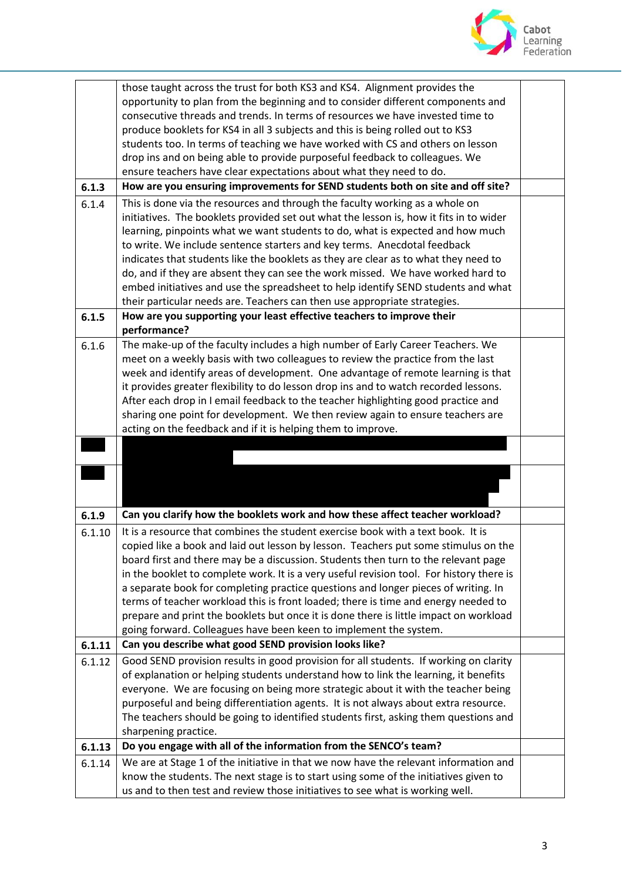

|        | those taught across the trust for both KS3 and KS4. Alignment provides the                                                                                            |  |
|--------|-----------------------------------------------------------------------------------------------------------------------------------------------------------------------|--|
|        | opportunity to plan from the beginning and to consider different components and                                                                                       |  |
|        | consecutive threads and trends. In terms of resources we have invested time to                                                                                        |  |
|        | produce booklets for KS4 in all 3 subjects and this is being rolled out to KS3                                                                                        |  |
|        | students too. In terms of teaching we have worked with CS and others on lesson                                                                                        |  |
|        | drop ins and on being able to provide purposeful feedback to colleagues. We                                                                                           |  |
|        | ensure teachers have clear expectations about what they need to do.                                                                                                   |  |
| 6.1.3  | How are you ensuring improvements for SEND students both on site and off site?                                                                                        |  |
| 6.1.4  | This is done via the resources and through the faculty working as a whole on                                                                                          |  |
|        | initiatives. The booklets provided set out what the lesson is, how it fits in to wider                                                                                |  |
|        | learning, pinpoints what we want students to do, what is expected and how much                                                                                        |  |
|        |                                                                                                                                                                       |  |
|        | to write. We include sentence starters and key terms. Anecdotal feedback                                                                                              |  |
|        | indicates that students like the booklets as they are clear as to what they need to                                                                                   |  |
|        | do, and if they are absent they can see the work missed. We have worked hard to                                                                                       |  |
|        | embed initiatives and use the spreadsheet to help identify SEND students and what                                                                                     |  |
|        | their particular needs are. Teachers can then use appropriate strategies.                                                                                             |  |
| 6.1.5  | How are you supporting your least effective teachers to improve their                                                                                                 |  |
|        | performance?                                                                                                                                                          |  |
| 6.1.6  | The make-up of the faculty includes a high number of Early Career Teachers. We                                                                                        |  |
|        | meet on a weekly basis with two colleagues to review the practice from the last                                                                                       |  |
|        | week and identify areas of development. One advantage of remote learning is that                                                                                      |  |
|        | it provides greater flexibility to do lesson drop ins and to watch recorded lessons.                                                                                  |  |
|        | After each drop in I email feedback to the teacher highlighting good practice and                                                                                     |  |
|        | sharing one point for development. We then review again to ensure teachers are                                                                                        |  |
|        | acting on the feedback and if it is helping them to improve.                                                                                                          |  |
|        |                                                                                                                                                                       |  |
|        |                                                                                                                                                                       |  |
|        |                                                                                                                                                                       |  |
|        |                                                                                                                                                                       |  |
|        |                                                                                                                                                                       |  |
| 6.1.9  | Can you clarify how the booklets work and how these affect teacher workload?                                                                                          |  |
| 6.1.10 | It is a resource that combines the student exercise book with a text book. It is                                                                                      |  |
|        | copied like a book and laid out lesson by lesson. Teachers put some stimulus on the                                                                                   |  |
|        | board first and there may be a discussion. Students then turn to the relevant page                                                                                    |  |
|        | in the booklet to complete work. It is a very useful revision tool. For history there is                                                                              |  |
|        | a separate book for completing practice questions and longer pieces of writing. In                                                                                    |  |
|        | terms of teacher workload this is front loaded; there is time and energy needed to                                                                                    |  |
|        | prepare and print the booklets but once it is done there is little impact on workload                                                                                 |  |
|        | going forward. Colleagues have been keen to implement the system.                                                                                                     |  |
| 6.1.11 | Can you describe what good SEND provision looks like?                                                                                                                 |  |
| 6.1.12 | Good SEND provision results in good provision for all students. If working on clarity                                                                                 |  |
|        | of explanation or helping students understand how to link the learning, it benefits                                                                                   |  |
|        | everyone. We are focusing on being more strategic about it with the teacher being                                                                                     |  |
|        | purposeful and being differentiation agents. It is not always about extra resource.                                                                                   |  |
|        |                                                                                                                                                                       |  |
|        |                                                                                                                                                                       |  |
|        | The teachers should be going to identified students first, asking them questions and                                                                                  |  |
|        | sharpening practice.                                                                                                                                                  |  |
| 6.1.13 | Do you engage with all of the information from the SENCO's team?                                                                                                      |  |
| 6.1.14 | We are at Stage 1 of the initiative in that we now have the relevant information and                                                                                  |  |
|        | know the students. The next stage is to start using some of the initiatives given to<br>us and to then test and review those initiatives to see what is working well. |  |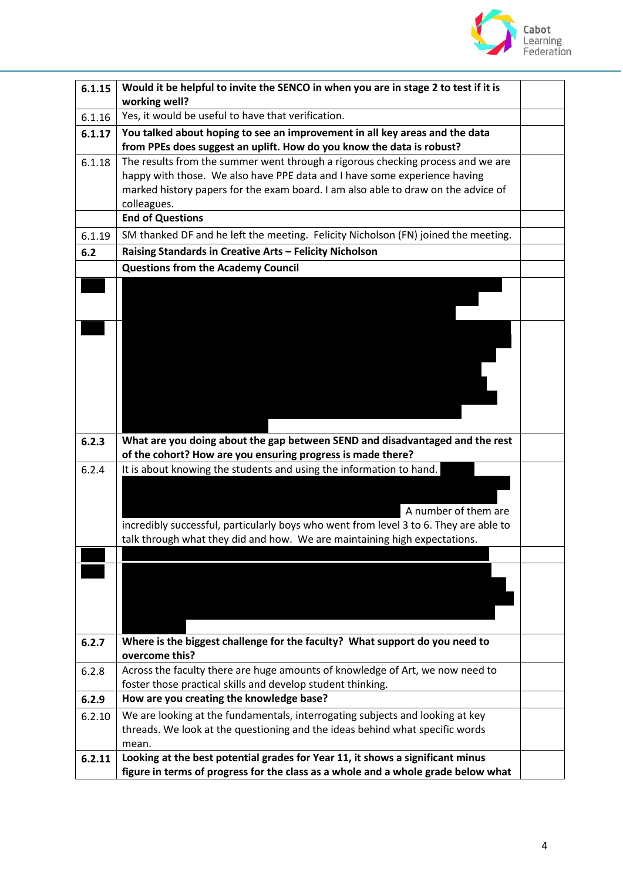

| 6.1.15 | Would it be helpful to invite the SENCO in when you are in stage 2 to test if it is<br>working well?                                                               |  |
|--------|--------------------------------------------------------------------------------------------------------------------------------------------------------------------|--|
| 6.1.16 | Yes, it would be useful to have that verification.                                                                                                                 |  |
| 6.1.17 | You talked about hoping to see an improvement in all key areas and the data                                                                                        |  |
|        | from PPEs does suggest an uplift. How do you know the data is robust?                                                                                              |  |
| 6.1.18 | The results from the summer went through a rigorous checking process and we are                                                                                    |  |
|        | happy with those. We also have PPE data and I have some experience having                                                                                          |  |
|        | marked history papers for the exam board. I am also able to draw on the advice of                                                                                  |  |
|        | colleagues.                                                                                                                                                        |  |
|        | <b>End of Questions</b>                                                                                                                                            |  |
| 6.1.19 | SM thanked DF and he left the meeting. Felicity Nicholson (FN) joined the meeting.                                                                                 |  |
| 6.2    | Raising Standards in Creative Arts - Felicity Nicholson                                                                                                            |  |
|        | <b>Questions from the Academy Council</b>                                                                                                                          |  |
|        |                                                                                                                                                                    |  |
|        |                                                                                                                                                                    |  |
|        |                                                                                                                                                                    |  |
|        |                                                                                                                                                                    |  |
|        |                                                                                                                                                                    |  |
|        |                                                                                                                                                                    |  |
|        |                                                                                                                                                                    |  |
|        |                                                                                                                                                                    |  |
|        |                                                                                                                                                                    |  |
| 6.2.3  | What are you doing about the gap between SEND and disadvantaged and the rest                                                                                       |  |
|        | of the cohort? How are you ensuring progress is made there?                                                                                                        |  |
| 6.2.4  | It is about knowing the students and using the information to hand.                                                                                                |  |
|        |                                                                                                                                                                    |  |
|        |                                                                                                                                                                    |  |
|        | A number of them are                                                                                                                                               |  |
|        | incredibly successful, particularly boys who went from level 3 to 6. They are able to<br>talk through what they did and how. We are maintaining high expectations. |  |
|        |                                                                                                                                                                    |  |
|        |                                                                                                                                                                    |  |
|        |                                                                                                                                                                    |  |
|        |                                                                                                                                                                    |  |
|        |                                                                                                                                                                    |  |
|        |                                                                                                                                                                    |  |
| 6.2.7  | Where is the biggest challenge for the faculty? What support do you need to                                                                                        |  |
|        | overcome this?                                                                                                                                                     |  |
| 6.2.8  | Across the faculty there are huge amounts of knowledge of Art, we now need to<br>foster those practical skills and develop student thinking.                       |  |
| 6.2.9  | How are you creating the knowledge base?                                                                                                                           |  |
| 6.2.10 | We are looking at the fundamentals, interrogating subjects and looking at key                                                                                      |  |
|        | threads. We look at the questioning and the ideas behind what specific words                                                                                       |  |
|        | mean.                                                                                                                                                              |  |
| 6.2.11 | Looking at the best potential grades for Year 11, it shows a significant minus                                                                                     |  |
|        | figure in terms of progress for the class as a whole and a whole grade below what                                                                                  |  |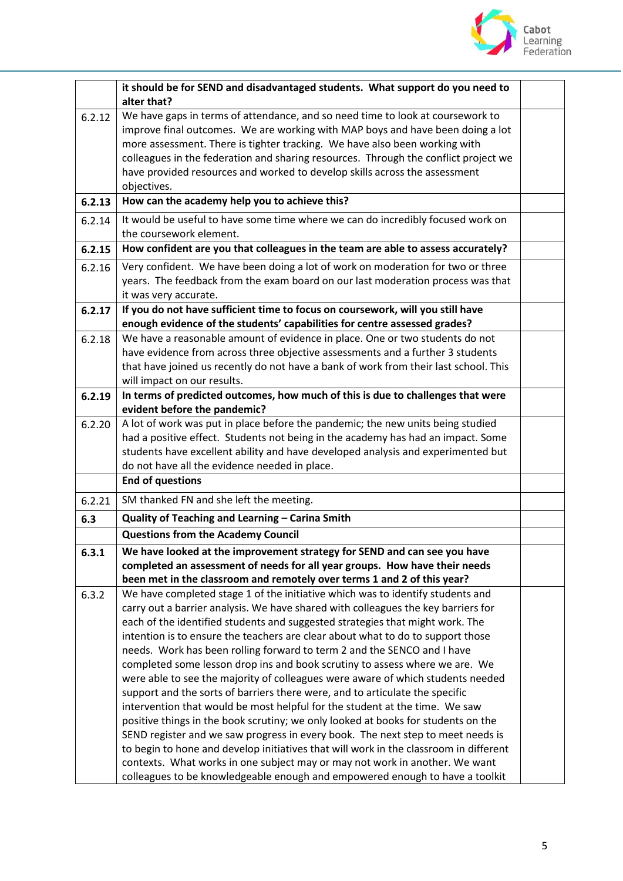

|        | it should be for SEND and disadvantaged students. What support do you need to                                                                                                                                                                                                                                                                                                                                                      |  |
|--------|------------------------------------------------------------------------------------------------------------------------------------------------------------------------------------------------------------------------------------------------------------------------------------------------------------------------------------------------------------------------------------------------------------------------------------|--|
|        | alter that?                                                                                                                                                                                                                                                                                                                                                                                                                        |  |
| 6.2.12 | We have gaps in terms of attendance, and so need time to look at coursework to<br>improve final outcomes. We are working with MAP boys and have been doing a lot<br>more assessment. There is tighter tracking. We have also been working with<br>colleagues in the federation and sharing resources. Through the conflict project we<br>have provided resources and worked to develop skills across the assessment<br>objectives. |  |
| 6.2.13 | How can the academy help you to achieve this?                                                                                                                                                                                                                                                                                                                                                                                      |  |
| 6.2.14 | It would be useful to have some time where we can do incredibly focused work on                                                                                                                                                                                                                                                                                                                                                    |  |
|        | the coursework element.                                                                                                                                                                                                                                                                                                                                                                                                            |  |
| 6.2.15 | How confident are you that colleagues in the team are able to assess accurately?                                                                                                                                                                                                                                                                                                                                                   |  |
| 6.2.16 | Very confident. We have been doing a lot of work on moderation for two or three                                                                                                                                                                                                                                                                                                                                                    |  |
|        | years. The feedback from the exam board on our last moderation process was that                                                                                                                                                                                                                                                                                                                                                    |  |
|        | it was very accurate.                                                                                                                                                                                                                                                                                                                                                                                                              |  |
| 6.2.17 | If you do not have sufficient time to focus on coursework, will you still have                                                                                                                                                                                                                                                                                                                                                     |  |
|        | enough evidence of the students' capabilities for centre assessed grades?                                                                                                                                                                                                                                                                                                                                                          |  |
| 6.2.18 | We have a reasonable amount of evidence in place. One or two students do not                                                                                                                                                                                                                                                                                                                                                       |  |
|        | have evidence from across three objective assessments and a further 3 students<br>that have joined us recently do not have a bank of work from their last school. This                                                                                                                                                                                                                                                             |  |
|        | will impact on our results.                                                                                                                                                                                                                                                                                                                                                                                                        |  |
| 6.2.19 | In terms of predicted outcomes, how much of this is due to challenges that were                                                                                                                                                                                                                                                                                                                                                    |  |
|        | evident before the pandemic?                                                                                                                                                                                                                                                                                                                                                                                                       |  |
| 6.2.20 | A lot of work was put in place before the pandemic; the new units being studied                                                                                                                                                                                                                                                                                                                                                    |  |
|        | had a positive effect. Students not being in the academy has had an impact. Some                                                                                                                                                                                                                                                                                                                                                   |  |
|        | students have excellent ability and have developed analysis and experimented but                                                                                                                                                                                                                                                                                                                                                   |  |
|        | do not have all the evidence needed in place.                                                                                                                                                                                                                                                                                                                                                                                      |  |
|        | <b>End of questions</b>                                                                                                                                                                                                                                                                                                                                                                                                            |  |
| 6.2.21 | SM thanked FN and she left the meeting.                                                                                                                                                                                                                                                                                                                                                                                            |  |
| 6.3    | Quality of Teaching and Learning - Carina Smith                                                                                                                                                                                                                                                                                                                                                                                    |  |
|        | <b>Questions from the Academy Council</b>                                                                                                                                                                                                                                                                                                                                                                                          |  |
| 6.3.1  | We have looked at the improvement strategy for SEND and can see you have                                                                                                                                                                                                                                                                                                                                                           |  |
|        | completed an assessment of needs for all year groups. How have their needs                                                                                                                                                                                                                                                                                                                                                         |  |
|        | been met in the classroom and remotely over terms 1 and 2 of this year?                                                                                                                                                                                                                                                                                                                                                            |  |
| 6.3.2  | We have completed stage 1 of the initiative which was to identify students and                                                                                                                                                                                                                                                                                                                                                     |  |
|        | carry out a barrier analysis. We have shared with colleagues the key barriers for<br>each of the identified students and suggested strategies that might work. The                                                                                                                                                                                                                                                                 |  |
|        | intention is to ensure the teachers are clear about what to do to support those                                                                                                                                                                                                                                                                                                                                                    |  |
|        | needs. Work has been rolling forward to term 2 and the SENCO and I have                                                                                                                                                                                                                                                                                                                                                            |  |
|        | completed some lesson drop ins and book scrutiny to assess where we are. We                                                                                                                                                                                                                                                                                                                                                        |  |
|        | were able to see the majority of colleagues were aware of which students needed                                                                                                                                                                                                                                                                                                                                                    |  |
|        | support and the sorts of barriers there were, and to articulate the specific                                                                                                                                                                                                                                                                                                                                                       |  |
|        | intervention that would be most helpful for the student at the time. We saw                                                                                                                                                                                                                                                                                                                                                        |  |
|        | positive things in the book scrutiny; we only looked at books for students on the                                                                                                                                                                                                                                                                                                                                                  |  |
|        | SEND register and we saw progress in every book. The next step to meet needs is                                                                                                                                                                                                                                                                                                                                                    |  |
|        | to begin to hone and develop initiatives that will work in the classroom in different                                                                                                                                                                                                                                                                                                                                              |  |
|        | contexts. What works in one subject may or may not work in another. We want                                                                                                                                                                                                                                                                                                                                                        |  |
|        | colleagues to be knowledgeable enough and empowered enough to have a toolkit                                                                                                                                                                                                                                                                                                                                                       |  |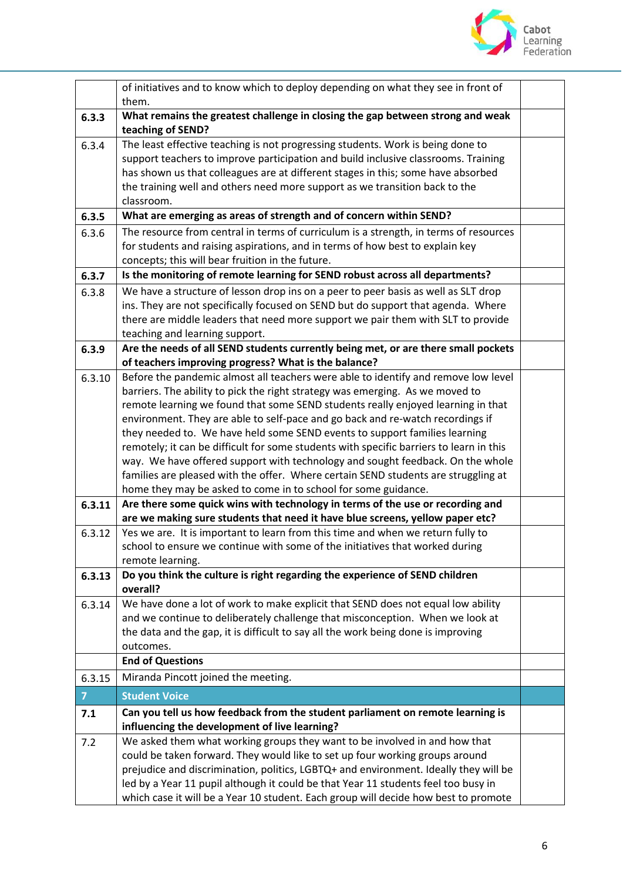

|                | of initiatives and to know which to deploy depending on what they see in front of<br>them.                                                                                                                                                                                                                                                                                                                                                                                                                                                                                                                                                                                                                                                                   |  |
|----------------|--------------------------------------------------------------------------------------------------------------------------------------------------------------------------------------------------------------------------------------------------------------------------------------------------------------------------------------------------------------------------------------------------------------------------------------------------------------------------------------------------------------------------------------------------------------------------------------------------------------------------------------------------------------------------------------------------------------------------------------------------------------|--|
| 6.3.3          | What remains the greatest challenge in closing the gap between strong and weak<br>teaching of SEND?                                                                                                                                                                                                                                                                                                                                                                                                                                                                                                                                                                                                                                                          |  |
| 6.3.4          | The least effective teaching is not progressing students. Work is being done to<br>support teachers to improve participation and build inclusive classrooms. Training<br>has shown us that colleagues are at different stages in this; some have absorbed<br>the training well and others need more support as we transition back to the<br>classroom.                                                                                                                                                                                                                                                                                                                                                                                                       |  |
| 6.3.5          | What are emerging as areas of strength and of concern within SEND?                                                                                                                                                                                                                                                                                                                                                                                                                                                                                                                                                                                                                                                                                           |  |
| 6.3.6          | The resource from central in terms of curriculum is a strength, in terms of resources<br>for students and raising aspirations, and in terms of how best to explain key<br>concepts; this will bear fruition in the future.                                                                                                                                                                                                                                                                                                                                                                                                                                                                                                                                   |  |
| 6.3.7          | Is the monitoring of remote learning for SEND robust across all departments?                                                                                                                                                                                                                                                                                                                                                                                                                                                                                                                                                                                                                                                                                 |  |
| 6.3.8          | We have a structure of lesson drop ins on a peer to peer basis as well as SLT drop<br>ins. They are not specifically focused on SEND but do support that agenda. Where<br>there are middle leaders that need more support we pair them with SLT to provide<br>teaching and learning support.                                                                                                                                                                                                                                                                                                                                                                                                                                                                 |  |
| 6.3.9          | Are the needs of all SEND students currently being met, or are there small pockets                                                                                                                                                                                                                                                                                                                                                                                                                                                                                                                                                                                                                                                                           |  |
|                | of teachers improving progress? What is the balance?                                                                                                                                                                                                                                                                                                                                                                                                                                                                                                                                                                                                                                                                                                         |  |
| 6.3.10         | Before the pandemic almost all teachers were able to identify and remove low level<br>barriers. The ability to pick the right strategy was emerging. As we moved to<br>remote learning we found that some SEND students really enjoyed learning in that<br>environment. They are able to self-pace and go back and re-watch recordings if<br>they needed to. We have held some SEND events to support families learning<br>remotely; it can be difficult for some students with specific barriers to learn in this<br>way. We have offered support with technology and sought feedback. On the whole<br>families are pleased with the offer. Where certain SEND students are struggling at<br>home they may be asked to come in to school for some guidance. |  |
| 6.3.11         | Are there some quick wins with technology in terms of the use or recording and<br>are we making sure students that need it have blue screens, yellow paper etc?                                                                                                                                                                                                                                                                                                                                                                                                                                                                                                                                                                                              |  |
| 6.3.12         | Yes we are. It is important to learn from this time and when we return fully to<br>school to ensure we continue with some of the initiatives that worked during<br>remote learning.                                                                                                                                                                                                                                                                                                                                                                                                                                                                                                                                                                          |  |
| 6.3.13         | Do you think the culture is right regarding the experience of SEND children<br>overall?                                                                                                                                                                                                                                                                                                                                                                                                                                                                                                                                                                                                                                                                      |  |
| 6.3.14         | We have done a lot of work to make explicit that SEND does not equal low ability<br>and we continue to deliberately challenge that misconception. When we look at<br>the data and the gap, it is difficult to say all the work being done is improving<br>outcomes.                                                                                                                                                                                                                                                                                                                                                                                                                                                                                          |  |
|                | <b>End of Questions</b>                                                                                                                                                                                                                                                                                                                                                                                                                                                                                                                                                                                                                                                                                                                                      |  |
| 6.3.15         | Miranda Pincott joined the meeting.                                                                                                                                                                                                                                                                                                                                                                                                                                                                                                                                                                                                                                                                                                                          |  |
| 7 <sup>1</sup> | <b>Student Voice</b>                                                                                                                                                                                                                                                                                                                                                                                                                                                                                                                                                                                                                                                                                                                                         |  |
| 7.1            | Can you tell us how feedback from the student parliament on remote learning is                                                                                                                                                                                                                                                                                                                                                                                                                                                                                                                                                                                                                                                                               |  |
| 7.2            | influencing the development of live learning?<br>We asked them what working groups they want to be involved in and how that                                                                                                                                                                                                                                                                                                                                                                                                                                                                                                                                                                                                                                  |  |
|                | could be taken forward. They would like to set up four working groups around<br>prejudice and discrimination, politics, LGBTQ+ and environment. Ideally they will be<br>led by a Year 11 pupil although it could be that Year 11 students feel too busy in<br>which case it will be a Year 10 student. Each group will decide how best to promote                                                                                                                                                                                                                                                                                                                                                                                                            |  |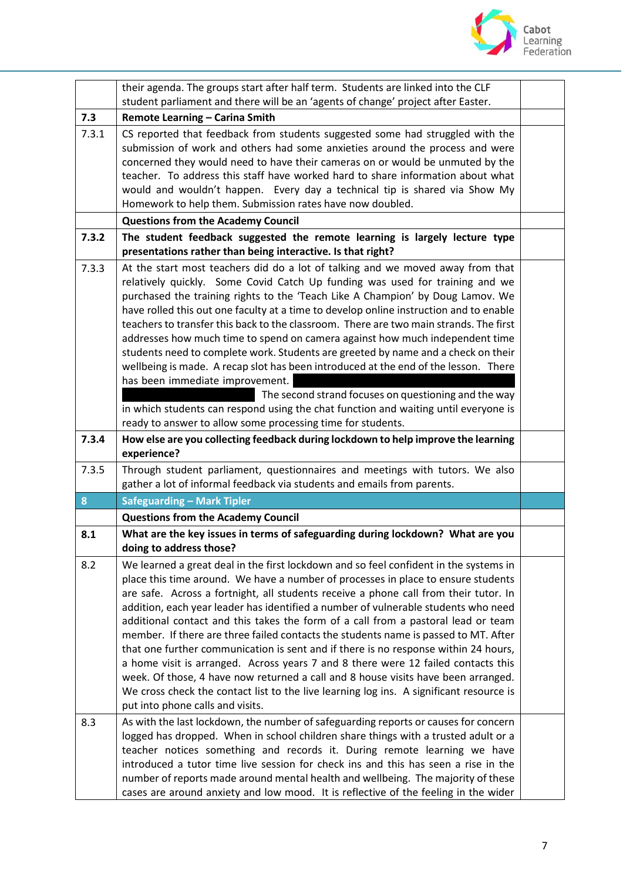

|       | their agenda. The groups start after half term. Students are linked into the CLF<br>student parliament and there will be an 'agents of change' project after Easter.                                                                                                                                                                                                                                                                                                                                                                                                                                                                                                                                                                                                                                                                                                                                                                              |  |
|-------|---------------------------------------------------------------------------------------------------------------------------------------------------------------------------------------------------------------------------------------------------------------------------------------------------------------------------------------------------------------------------------------------------------------------------------------------------------------------------------------------------------------------------------------------------------------------------------------------------------------------------------------------------------------------------------------------------------------------------------------------------------------------------------------------------------------------------------------------------------------------------------------------------------------------------------------------------|--|
| 7.3   | Remote Learning - Carina Smith                                                                                                                                                                                                                                                                                                                                                                                                                                                                                                                                                                                                                                                                                                                                                                                                                                                                                                                    |  |
| 7.3.1 | CS reported that feedback from students suggested some had struggled with the<br>submission of work and others had some anxieties around the process and were<br>concerned they would need to have their cameras on or would be unmuted by the<br>teacher. To address this staff have worked hard to share information about what<br>would and wouldn't happen. Every day a technical tip is shared via Show My<br>Homework to help them. Submission rates have now doubled.                                                                                                                                                                                                                                                                                                                                                                                                                                                                      |  |
|       | <b>Questions from the Academy Council</b>                                                                                                                                                                                                                                                                                                                                                                                                                                                                                                                                                                                                                                                                                                                                                                                                                                                                                                         |  |
| 7.3.2 | The student feedback suggested the remote learning is largely lecture type<br>presentations rather than being interactive. Is that right?                                                                                                                                                                                                                                                                                                                                                                                                                                                                                                                                                                                                                                                                                                                                                                                                         |  |
| 7.3.3 | At the start most teachers did do a lot of talking and we moved away from that<br>relatively quickly. Some Covid Catch Up funding was used for training and we<br>purchased the training rights to the 'Teach Like A Champion' by Doug Lamov. We<br>have rolled this out one faculty at a time to develop online instruction and to enable<br>teachers to transfer this back to the classroom. There are two main strands. The first<br>addresses how much time to spend on camera against how much independent time<br>students need to complete work. Students are greeted by name and a check on their<br>wellbeing is made. A recap slot has been introduced at the end of the lesson. There<br>has been immediate improvement.<br>The second strand focuses on questioning and the way<br>in which students can respond using the chat function and waiting until everyone is<br>ready to answer to allow some processing time for students. |  |
| 7.3.4 | How else are you collecting feedback during lockdown to help improve the learning<br>experience?                                                                                                                                                                                                                                                                                                                                                                                                                                                                                                                                                                                                                                                                                                                                                                                                                                                  |  |
| 7.3.5 | Through student parliament, questionnaires and meetings with tutors. We also<br>gather a lot of informal feedback via students and emails from parents.                                                                                                                                                                                                                                                                                                                                                                                                                                                                                                                                                                                                                                                                                                                                                                                           |  |
| 8     | <b>Safeguarding - Mark Tipler</b>                                                                                                                                                                                                                                                                                                                                                                                                                                                                                                                                                                                                                                                                                                                                                                                                                                                                                                                 |  |
|       | <b>Questions from the Academy Council</b>                                                                                                                                                                                                                                                                                                                                                                                                                                                                                                                                                                                                                                                                                                                                                                                                                                                                                                         |  |
| 8.1   | What are the key issues in terms of safeguarding during lockdown? What are you<br>doing to address those?                                                                                                                                                                                                                                                                                                                                                                                                                                                                                                                                                                                                                                                                                                                                                                                                                                         |  |
| 8.2   | We learned a great deal in the first lockdown and so feel confident in the systems in<br>place this time around. We have a number of processes in place to ensure students<br>are safe. Across a fortnight, all students receive a phone call from their tutor. In<br>addition, each year leader has identified a number of vulnerable students who need<br>additional contact and this takes the form of a call from a pastoral lead or team<br>member. If there are three failed contacts the students name is passed to MT. After<br>that one further communication is sent and if there is no response within 24 hours,<br>a home visit is arranged. Across years 7 and 8 there were 12 failed contacts this<br>week. Of those, 4 have now returned a call and 8 house visits have been arranged.<br>We cross check the contact list to the live learning log ins. A significant resource is<br>put into phone calls and visits.              |  |
| 8.3   | As with the last lockdown, the number of safeguarding reports or causes for concern<br>logged has dropped. When in school children share things with a trusted adult or a<br>teacher notices something and records it. During remote learning we have<br>introduced a tutor time live session for check ins and this has seen a rise in the<br>number of reports made around mental health and wellbeing. The majority of these<br>cases are around anxiety and low mood. It is reflective of the feeling in the wider                                                                                                                                                                                                                                                                                                                                                                                                                            |  |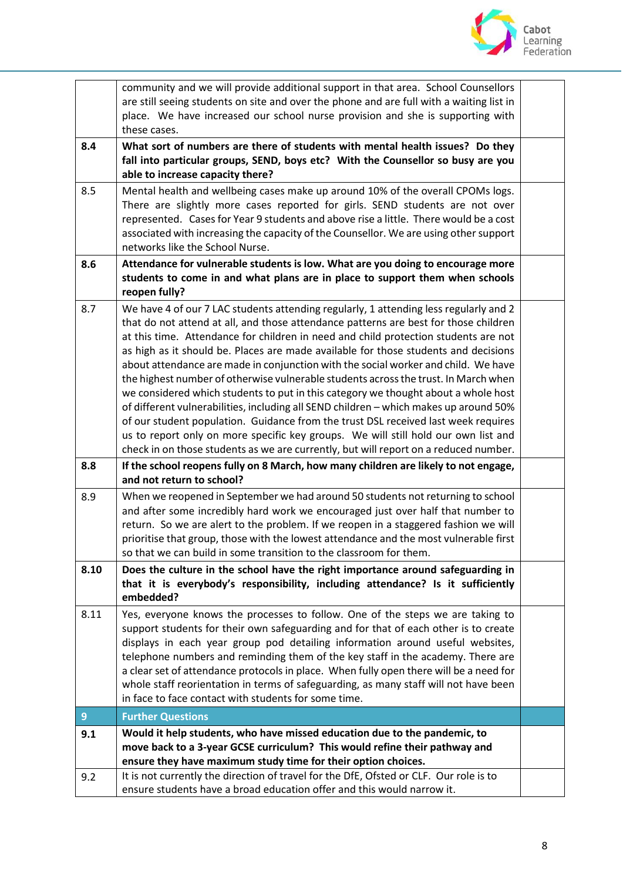

|                | community and we will provide additional support in that area. School Counsellors                                                                                            |  |
|----------------|------------------------------------------------------------------------------------------------------------------------------------------------------------------------------|--|
|                | are still seeing students on site and over the phone and are full with a waiting list in                                                                                     |  |
|                | place. We have increased our school nurse provision and she is supporting with                                                                                               |  |
|                | these cases.                                                                                                                                                                 |  |
| 8.4            | What sort of numbers are there of students with mental health issues? Do they                                                                                                |  |
|                | fall into particular groups, SEND, boys etc? With the Counsellor so busy are you                                                                                             |  |
|                | able to increase capacity there?                                                                                                                                             |  |
| 8.5            | Mental health and wellbeing cases make up around 10% of the overall CPOMs logs.                                                                                              |  |
|                | There are slightly more cases reported for girls. SEND students are not over                                                                                                 |  |
|                | represented. Cases for Year 9 students and above rise a little. There would be a cost                                                                                        |  |
|                | associated with increasing the capacity of the Counsellor. We are using other support                                                                                        |  |
|                | networks like the School Nurse.                                                                                                                                              |  |
| 8.6            | Attendance for vulnerable students is low. What are you doing to encourage more                                                                                              |  |
|                | students to come in and what plans are in place to support them when schools                                                                                                 |  |
|                | reopen fully?                                                                                                                                                                |  |
| 8.7            | We have 4 of our 7 LAC students attending regularly, 1 attending less regularly and 2                                                                                        |  |
|                | that do not attend at all, and those attendance patterns are best for those children                                                                                         |  |
|                | at this time. Attendance for children in need and child protection students are not                                                                                          |  |
|                | as high as it should be. Places are made available for those students and decisions                                                                                          |  |
|                | about attendance are made in conjunction with the social worker and child. We have                                                                                           |  |
|                | the highest number of otherwise vulnerable students across the trust. In March when                                                                                          |  |
|                | we considered which students to put in this category we thought about a whole host                                                                                           |  |
|                | of different vulnerabilities, including all SEND children - which makes up around 50%                                                                                        |  |
|                | of our student population. Guidance from the trust DSL received last week requires                                                                                           |  |
|                | us to report only on more specific key groups. We will still hold our own list and                                                                                           |  |
|                | check in on those students as we are currently, but will report on a reduced number.                                                                                         |  |
| 8.8            | If the school reopens fully on 8 March, how many children are likely to not engage,                                                                                          |  |
|                | and not return to school?                                                                                                                                                    |  |
| 8.9            | When we reopened in September we had around 50 students not returning to school                                                                                              |  |
|                | and after some incredibly hard work we encouraged just over half that number to                                                                                              |  |
|                | return. So we are alert to the problem. If we reopen in a staggered fashion we will<br>prioritise that group, those with the lowest attendance and the most vulnerable first |  |
|                | so that we can build in some transition to the classroom for them.                                                                                                           |  |
|                |                                                                                                                                                                              |  |
| 8.10           | Does the culture in the school have the right importance around safeguarding in<br>that it is everybody's responsibility, including attendance? Is it sufficiently           |  |
|                | embedded?                                                                                                                                                                    |  |
| 8.11           | Yes, everyone knows the processes to follow. One of the steps we are taking to                                                                                               |  |
|                | support students for their own safeguarding and for that of each other is to create                                                                                          |  |
|                | displays in each year group pod detailing information around useful websites,                                                                                                |  |
|                | telephone numbers and reminding them of the key staff in the academy. There are                                                                                              |  |
|                | a clear set of attendance protocols in place. When fully open there will be a need for                                                                                       |  |
|                | whole staff reorientation in terms of safeguarding, as many staff will not have been                                                                                         |  |
|                | in face to face contact with students for some time.                                                                                                                         |  |
| $\overline{9}$ | <b>Further Questions</b>                                                                                                                                                     |  |
| 9.1            | Would it help students, who have missed education due to the pandemic, to                                                                                                    |  |
|                | move back to a 3-year GCSE curriculum? This would refine their pathway and                                                                                                   |  |
|                | ensure they have maximum study time for their option choices.                                                                                                                |  |
| 9.2            | It is not currently the direction of travel for the DfE, Ofsted or CLF. Our role is to                                                                                       |  |
|                | ensure students have a broad education offer and this would narrow it.                                                                                                       |  |